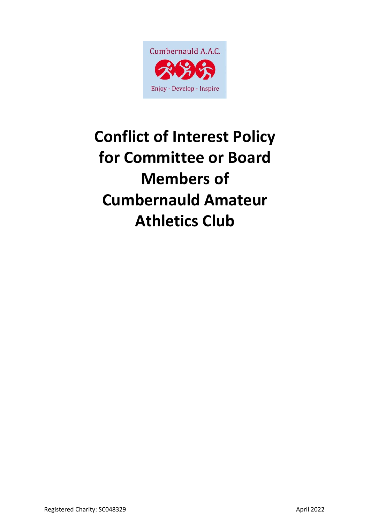

# **Conflict of Interest Policy for Committee or Board Members of Cumbernauld Amateur Athletics Club**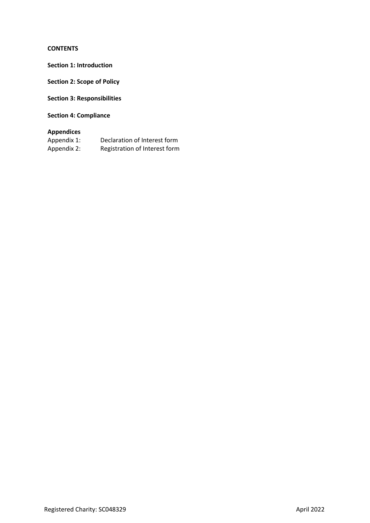# **CONTENTS**

**Section 1: Introduction** 

**Section 2: Scope of Policy** 

**Section 3: Responsibilities**

**Section 4: Compliance**

# **Appendices**

| Appendix 1: | Declaration of Interest form  |
|-------------|-------------------------------|
| Appendix 2: | Registration of Interest form |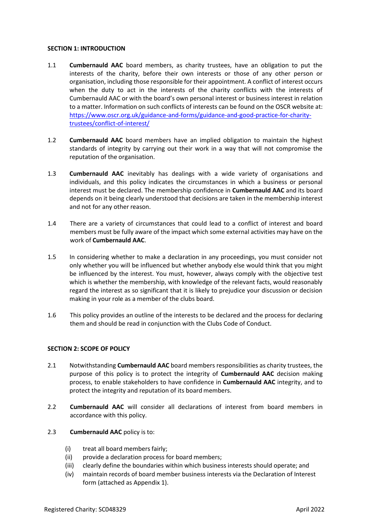#### **SECTION 1: INTRODUCTION**

- 1.1 **Cumbernauld AAC** board members, as charity trustees, have an obligation to put the interests of the charity, before their own interests or those of any other person or organisation, including those responsible for their appointment. A conflict of interest occurs when the duty to act in the interests of the charity conflicts with the interests of Cumbernauld AAC or with the board's own personal interest or business interest in relation to a matter. Information on such conflicts of interests can be found on the OSCR website at: [https://www.oscr.org.uk/guidance-and-forms/guidance-and-good-practice-for-charity](https://www.oscr.org.uk/guidance-and-forms/guidance-and-good-practice-for-charity-trustees/conflict-of-interest/)[trustees/conflict-of-interest/](https://www.oscr.org.uk/guidance-and-forms/guidance-and-good-practice-for-charity-trustees/conflict-of-interest/)
- 1.2 **Cumbernauld AAC** board members have an implied obligation to maintain the highest standards of integrity by carrying out their work in a way that will not compromise the reputation of the organisation.
- 1.3 **Cumbernauld AAC** inevitably has dealings with a wide variety of organisations and individuals, and this policy indicates the circumstances in which a business or personal interest must be declared. The membership confidence in **Cumbernauld AAC** and its board depends on it being clearly understood that decisions are taken in the membership interest and not for any other reason.
- 1.4 There are a variety of circumstances that could lead to a conflict of interest and board members must be fully aware of the impact which some external activities may have on the work of **Cumbernauld AAC**.
- 1.5 In considering whether to make a declaration in any proceedings, you must consider not only whether you will be influenced but whether anybody else would think that you might be influenced by the interest. You must, however, always comply with the objective test which is whether the membership, with knowledge of the relevant facts, would reasonably regard the interest as so significant that it is likely to prejudice your discussion or decision making in your role as a member of the clubs board.
- 1.6 This policy provides an outline of the interests to be declared and the process for declaring them and should be read in conjunction with the Clubs Code of Conduct.

#### **SECTION 2: SCOPE OF POLICY**

- 2.1 Notwithstanding **Cumbernauld AAC** board members responsibilities as charity trustees, the purpose of this policy is to protect the integrity of **Cumbernauld AAC** decision making process, to enable stakeholders to have confidence in **Cumbernauld AAC** integrity, and to protect the integrity and reputation of its board members.
- 2.2 **Cumbernauld AAC** will consider all declarations of interest from board members in accordance with this policy.
- 2.3 **Cumbernauld AAC** policy is to:
	- (i) treat all board members fairly;
	- (ii) provide a declaration process for board members;
	- (iii) clearly define the boundaries within which business interests should operate; and
	- (iv) maintain records of board member business interests via the Declaration of Interest form (attached as Appendix 1).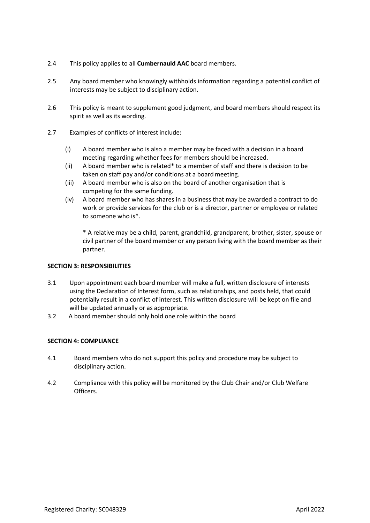- 2.4 This policy applies to all **Cumbernauld AAC** board members.
- 2.5 Any board member who knowingly withholds information regarding a potential conflict of interests may be subject to disciplinary action.
- 2.6 This policy is meant to supplement good judgment, and board members should respect its spirit as well as its wording.
- 2.7 Examples of conflicts of interest include:
	- (i) A board member who is also a member may be faced with a decision in a board meeting regarding whether fees for members should be increased.
	- (ii) A board member who is related\* to a member of staff and there is decision to be taken on staff pay and/or conditions at a board meeting.
	- (iii) A board member who is also on the board of another organisation that is competing for the same funding.
	- (iv) A board member who has shares in a business that may be awarded a contract to do work or provide services for the club or is a director, partner or employee or related to someone who is\*.

\* A relative may be a child, parent, grandchild, grandparent, brother, sister, spouse or civil partner of the board member or any person living with the board member as their partner.

#### **SECTION 3: RESPONSIBILITIES**

- 3.1 Upon appointment each board member will make a full, written disclosure of interests using the Declaration of Interest form, such as relationships, and posts held, that could potentially result in a conflict of interest. This written disclosure will be kept on file and will be updated annually or as appropriate.
- 3.2 A board member should only hold one role within the board

#### **SECTION 4: COMPLIANCE**

- 4.1 Board members who do not support this policy and procedure may be subject to disciplinary action.
- 4.2 Compliance with this policy will be monitored by the Club Chair and/or Club Welfare Officers.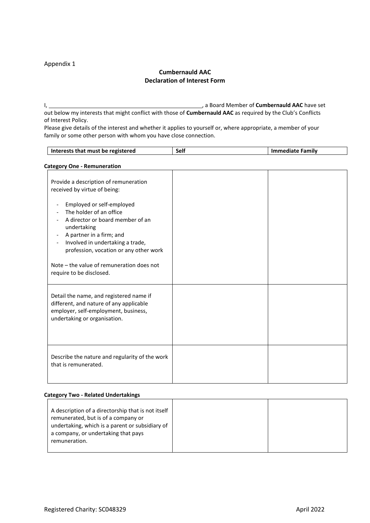## Appendix 1

# **Cumbernauld AAC Declaration of Interest Form**

I, , a Board Member of **Cumbernauld AAC** have set out below my interests that might conflict with those of **Cumbernauld AAC** as required by the Club's Conflicts of Interest Policy.

Please give details of the interest and whether it applies to yourself or, where appropriate, a member of your family or some other person with whom you have close connection.

| Interests that must be registered                                                                                                                                                                                                                                                                                                                                                                                           | <b>Self</b> | <b>Immediate Family</b> |  |
|-----------------------------------------------------------------------------------------------------------------------------------------------------------------------------------------------------------------------------------------------------------------------------------------------------------------------------------------------------------------------------------------------------------------------------|-------------|-------------------------|--|
| <b>Category One - Remuneration</b>                                                                                                                                                                                                                                                                                                                                                                                          |             |                         |  |
| Provide a description of remuneration<br>received by virtue of being:<br>Employed or self-employed<br>$\overline{\phantom{a}}$<br>The holder of an office<br>A director or board member of an<br>undertaking<br>A partner in a firm; and<br>$\overline{\phantom{a}}$<br>Involved in undertaking a trade,<br>profession, vocation or any other work<br>Note – the value of remuneration does not<br>require to be disclosed. |             |                         |  |
| Detail the name, and registered name if<br>different, and nature of any applicable<br>employer, self-employment, business,<br>undertaking or organisation.                                                                                                                                                                                                                                                                  |             |                         |  |
| Describe the nature and regularity of the work<br>that is remunerated.                                                                                                                                                                                                                                                                                                                                                      |             |                         |  |

#### **Category Two - Related Undertakings**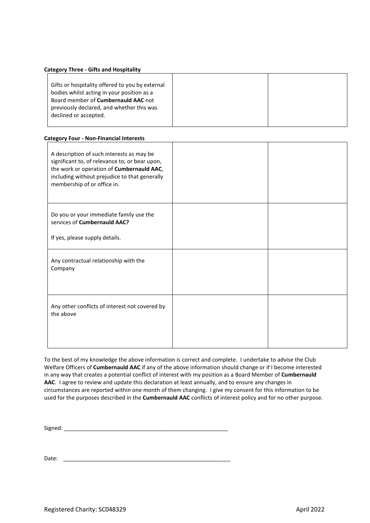#### **Category Three - Gifts and Hospitality**

| Gifts or hospitality offered to you by external |
|-------------------------------------------------|
| bodies whilst acting in your position as a      |
| Board member of <b>Cumbernauld AAC</b> not      |
| previously declared, and whether this was       |
| declined or accepted.                           |
|                                                 |

#### **Category Four - Non-Financial Interests**

| A description of such interests as may be<br>significant to, of relevance to, or bear upon,<br>the work or operation of Cumbernauld AAC,<br>including without prejudice to that generally<br>membership of or office in. |  |
|--------------------------------------------------------------------------------------------------------------------------------------------------------------------------------------------------------------------------|--|
| Do you or your immediate family use the<br>services of Cumbernauld AAC?<br>If yes, please supply details.                                                                                                                |  |
| Any contractual relationship with the<br>Company                                                                                                                                                                         |  |
| Any other conflicts of interest not covered by<br>the above                                                                                                                                                              |  |

To the best of my knowledge the above information is correct and complete. I undertake to advise the Club Welfare Officers of **Cumbernauld AAC** if any of the above information should change or if I become interested in any way that creates a potential conflict of interest with my position as a Board Member of **Cumbernauld AAC**. I agree to review and update this declaration at least annually, and to ensure any changes in circumstances are reported within one month of them changing. I give my consent for this information to be used for the purposes described in the **Cumbernauld AAC** conflicts of interest policy and for no other purpose.

Signed: \_\_\_\_\_\_\_\_\_\_\_\_\_\_\_\_\_\_\_\_\_\_\_\_\_\_\_\_\_\_\_\_\_\_\_\_\_\_\_\_\_\_\_\_\_\_\_\_\_\_\_\_\_

Date:  $\Box$